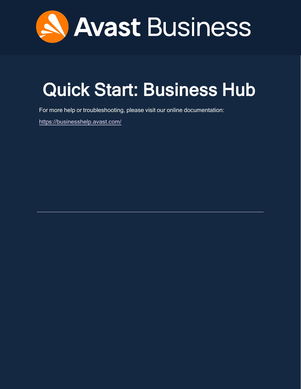

# <span id="page-0-0"></span>Quick Start: Business Hub

For more help or troubleshooting, please visit our online documentation:

<https://businesshelp.avast.com/>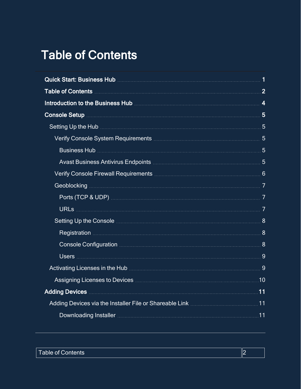## <span id="page-1-0"></span>Table of Contents

| Introduction to the Business Hub <b>Manual According to the Street According of According According 4</b> |  |
|-----------------------------------------------------------------------------------------------------------|--|
|                                                                                                           |  |
|                                                                                                           |  |
|                                                                                                           |  |
|                                                                                                           |  |
|                                                                                                           |  |
|                                                                                                           |  |
|                                                                                                           |  |
|                                                                                                           |  |
|                                                                                                           |  |
|                                                                                                           |  |
|                                                                                                           |  |
|                                                                                                           |  |
|                                                                                                           |  |
| Activating Licenses in the Hub <b>Manual Activation</b> and the Section of Section 2004.                  |  |
| Assigning Licenses to Devices <b>Manual Assigning</b> Licenses to Devices <b>Manual Assigning</b>         |  |
| Adding Devices <b>Manual Adding Devices</b> 11                                                            |  |
|                                                                                                           |  |
|                                                                                                           |  |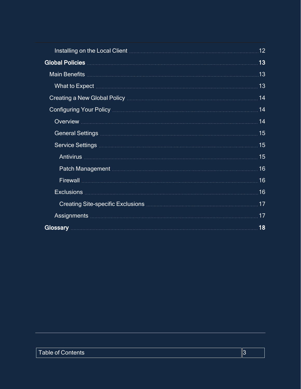|                                                                                                                                                                                                                                     | 12  |
|-------------------------------------------------------------------------------------------------------------------------------------------------------------------------------------------------------------------------------------|-----|
|                                                                                                                                                                                                                                     | 13  |
|                                                                                                                                                                                                                                     | .13 |
| What to Expect <b>with a construction of the construction</b> of the construction of the construction of the construction of the construction of the construction of the construction of the construction of the construction of th | 13  |
| Creating a New Global Policy <b>Commission Creating and Creating a New Global Policy</b>                                                                                                                                            | 14  |
|                                                                                                                                                                                                                                     | 14  |
|                                                                                                                                                                                                                                     | 14  |
|                                                                                                                                                                                                                                     | 15  |
|                                                                                                                                                                                                                                     | 15  |
|                                                                                                                                                                                                                                     | 15  |
|                                                                                                                                                                                                                                     | 16  |
|                                                                                                                                                                                                                                     | 16  |
|                                                                                                                                                                                                                                     | 16  |
|                                                                                                                                                                                                                                     | 17  |
| Assignments <b>Manual Manual Community</b> and the community of the community of the community of the community of the                                                                                                              | 17  |
|                                                                                                                                                                                                                                     | 18  |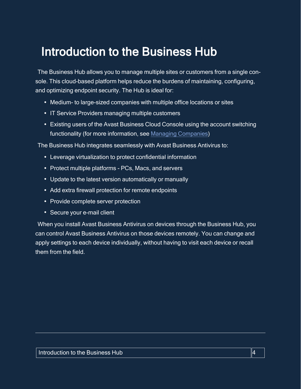## <span id="page-3-0"></span>Introduction to the Business Hub

The Business Hub allows you to manage multiple sites or customers from a single console. This cloud-based platform helps reduce the burdens of maintaining, configuring, and optimizing endpoint security. The Hub is ideal for:

- Medium- to large-sized companies with multiple office locations or sites
- IT Service Providers managing multiple customers
- Existing users of the Avast Business Cloud Console using the account switching functionality (for more information, see Managing [Companies](https://businesshelp.avast.com/Content/Products/AfB_Management_Consoles/UserandAccountManagement/ManagingCompanies.htm))

The Business Hub integrates seamlessly with Avast Business Antivirus to:

- Leverage virtualization to protect confidential information
- Protect multiple platforms PCs, Macs, and servers
- Update to the latest version automatically or manually
- Add extra firewall protection for remote endpoints
- Provide complete server protection
- Secure your e-mail client

When you install Avast Business Antivirus on devices through the Business Hub, you can control Avast Business Antivirus on those devices remotely. You can change and apply settings to each device individually, without having to visit each device or recall them from the field.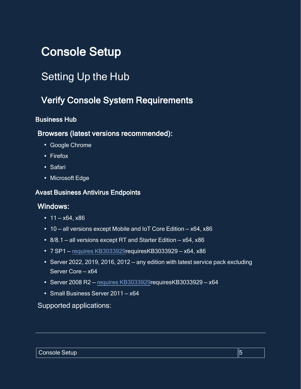## <span id="page-4-1"></span><span id="page-4-0"></span>Console Setup

## <span id="page-4-2"></span>Setting Up the Hub

### Verify Console System Requirements

#### <span id="page-4-3"></span>Business Hub

#### Browsers (latest versions recommended):

- Google Chrome
- Firefox
- Safari
- Microsoft Edge

#### <span id="page-4-4"></span>Avast Business Antivirus Endpoints

#### Windows:

- $\cdot$  11 x64, x86
- $\cdot$  10 all versions except Mobile and IoT Core Edition x64, x86
- $8/8.1$  all versions except RT and Starter Edition  $x64$ ,  $x86$
- $\cdot$  7 SP1 requires [KB3033929](AV213Reqs.htm)requiresKB3033929 x64, x86
- Server 2022, 2019, 2016, 2012 any edition with latest service pack excluding Server Core — x64
- $\cdot$  Server 2008 R2 requires [KB3033929](AV213Reqs.htm)requiresKB3033929 x64
- Small Business Server 2011 x64

#### Supported applications: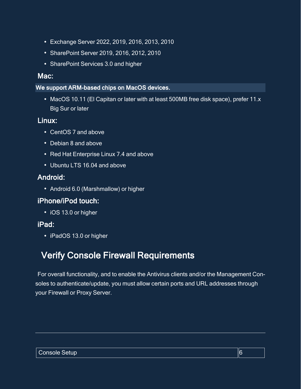- <sup>l</sup> Exchange Server 2022, 2019, 2016, 2013, 2010
- SharePoint Server 2019, 2016, 2012, 2010
- SharePoint Services 3.0 and higher

#### Mac:

#### We support ARM-based chips on MacOS devices.

• MacOS 10.11 (El Capitan or later with at least 500MB free disk space), prefer 11.x Big Sur or later

#### Linux:

- CentOS 7 and above
- Debian 8 and above
- Red Hat Enterprise Linux 7.4 and above
- Ubuntu LTS 16.04 and above

### Android:

• Android 6.0 (Marshmallow) or higher

### iPhone/iPod touch:

• iOS 13.0 or higher

### iPad:

<span id="page-5-0"></span>• iPadOS 13.0 or higher

## Verify Console Firewall Requirements

For overall functionality, and to enable the Antivirus clients and/or the Management Consoles to authenticate/update, you must allow certain ports and URL addresses through your Firewall or Proxy Server.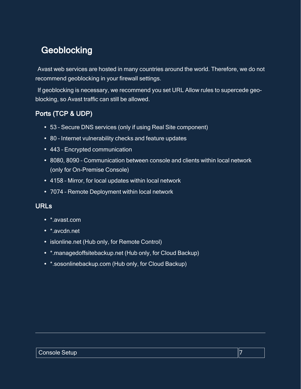## <span id="page-6-0"></span>**Geoblocking**

Avast web services are hosted in many countries around the world. Therefore, we do not recommend geoblocking in your firewall settings.

If geoblocking is necessary, we recommend you set URL Allow rules to supercede geoblocking, so Avast traffic can still be allowed.

#### <span id="page-6-1"></span>Ports (TCP & UDP)

- 53 Secure DNS services (only if using Real Site component)
- 80 Internet vulnerability checks and feature updates
- 443 Encrypted communication
- 8080, 8090 Communication between console and clients within local network (only for On-Premise Console)
- 4158 Mirror, for local updates within local network
- <span id="page-6-2"></span>• 7074 - Remote Deployment within local network

#### URLs

- \*.avast.com
- \* avcdn net
- islonline.net (Hub only, for Remote Control)
- \*.managedoffsitebackup.net (Hub only, for Cloud Backup)
- \*.sosonlinebackup.com (Hub only, for Cloud Backup)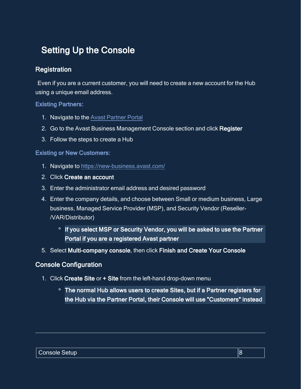### <span id="page-7-0"></span>**Setting Up the Console**

#### <span id="page-7-1"></span>**Registration**

Even if you are a current customer, you will need to create a new account for the Hub using a unique email address.

#### Existing Partners:

- 1. Navigate to the Avast [Partner](https://partners.avast.com/) Portal
- 2. Go to the Avast Business Management Console section and click Register
- 3. Follow the steps to create a Hub

#### Existing or New Customers:

- 1. Navigate to <https://new-business.avast.com/>
- 2. Click Create an account
- 3. Enter the administrator email address and desired password
- 4. Enter the company details, and choose between Small or medium business, Large business, Managed Service Provider (MSP), and Security Vendor (Reseller- /VAR/Distributor)
	- **o** If you select MSP or Security Vendor, you will be asked to use the Partner Portal if you are a registered Avast partner
- <span id="page-7-2"></span>5. Select Multi-company console, then click Finish and Create Your Console

#### Console Configuration

- 1. Click Create Site or + Site from the left-hand drop-down menu
	- **<sup>o</sup>** The normal Hub allows users to create Sites, but if a Partner registers for the Hub via the Partner Portal, their Console will use "Customers" instead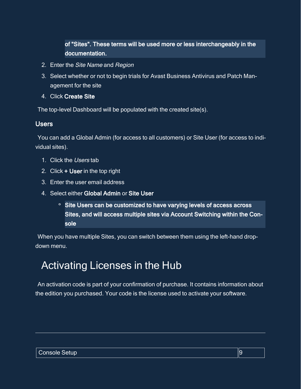of "Sites". These terms will be used more or less interchangeably in the documentation.

- 2. Enter the Site Name and Region
- 3. Select whether or not to begin trials for Avast Business Antivirus and Patch Management for the site
- 4. Click Create Site

<span id="page-8-0"></span>The top-level Dashboard will be populated with the created site(s).

#### **Users**

You can add a Global Admin (for access to all customers) or Site User (for access to individual sites).

- 1. Click the Users tab
- 2. Click + User in the top right
- 3. Enter the user email address
- 4. Select either Global Admin or Site User
	- **<sup>o</sup>** Site Users can be customized to have varying levels of access across Sites, and will access multiple sites via Account Switching within the Console

<span id="page-8-1"></span>When you have multiple Sites, you can switch between them using the left-hand dropdown menu.

## Activating Licenses in the Hub

An activation code is part of your confirmation of purchase. It contains information about the edition you purchased. Your code is the license used to activate your software.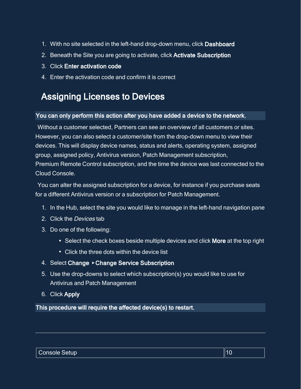- 1. With no site selected in the left-hand drop-down menu, click Dashboard
- 2. Beneath the Site you are going to activate, click Activate Subscription
- 3. Click Enter activation code
- <span id="page-9-0"></span>4. Enter the activation code and confirm it is correct

## Assigning Licenses to Devices

#### You can only perform this action after you have added a device to the network.

Without a customer selected, Partners can see an overview of all customers or sites. However, you can also select a customer/site from the drop-down menu to view their devices. This will display device names, status and alerts, operating system, assigned group, assigned policy, Antivirus version, Patch Management subscription, Premium Remote Control subscription, and the time the device was last connected to the Cloud Console.

You can alter the assigned subscription for a device, for instance if you purchase seats for a different Antivirus version or a subscription for Patch Management.

- 1. In the Hub, select the site you would like to manage in the left-hand navigation pane
- 2. Click the Devices tab
- 3. Do one of the following:
	- Select the check boxes beside multiple devices and click More at the top right
	- Click the three dots within the device list
- 4. Select Change ▸ Change Service Subscription
- 5. Use the drop-downs to select which subscription(s) you would like to use for Antivirus and Patch Management
- 6. Click Apply

This procedure will require the affected device(s) to restart.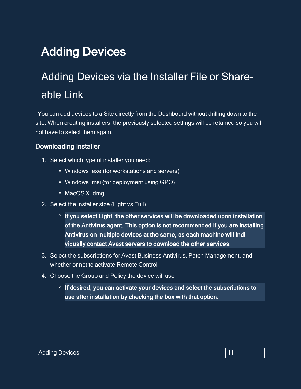## <span id="page-10-1"></span><span id="page-10-0"></span>Adding Devices

## Adding Devices via the Installer File or Shareable Link

You can add devices to a Site directly from the Dashboard without drilling down to the site. When creating installers, the previously selected settings will be retained so you will not have to select them again.

#### <span id="page-10-2"></span>**Downloading Installer**

- 1. Select which type of installer you need:
	- Windows .exe (for workstations and servers)
	- Windows .msi (for deployment using GPO)
	- MacOS X .dmg
- 2. Select the installer size (Light vs Full)
	- **o** If you select Light, the other services will be downloaded upon installation of the Antivirus agent. This option is not recommended if you are installing Antivirus on multiple devices at the same, as each machine will individually contact Avast servers to download the other services.
- 3. Select the subscriptions for Avast Business Antivirus, Patch Management, and whether or not to activate Remote Control
- 4. Choose the Group and Policy the device will use
	- **o** If desired, you can activate your devices and select the subscriptions to use after installation by checking the box with that option.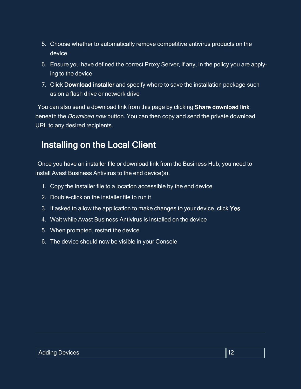- 5. Choose whether to automatically remove competitive antivirus products on the device
- 6. Ensure you have defined the correct Proxy Server, if any, in the policy you are applying to the device
- 7. Click Download installer and specify where to save the installation package–such as on a flash drive or network drive

<span id="page-11-0"></span>You can also send a download link from this page by clicking Share download link beneath the Download now button. You can then copy and send the private download URL to any desired recipients.

## Installing on the Local Client

Once you have an installer file or download link from the Business Hub, you need to install Avast Business Antivirus to the end device(s).

- 1. Copy the installer file to a location accessible by the end device
- 2. Double-click on the installer file to run it
- 3. If asked to allow the application to make changes to your device, click Yes
- 4. Wait while Avast Business Antivirus is installed on the device
- 5. When prompted, restart the device
- 6. The device should now be visible in your Console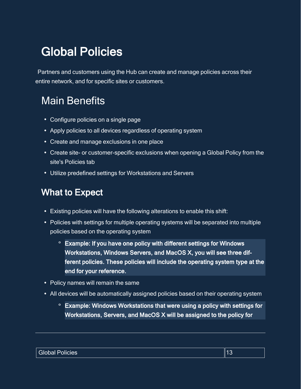## <span id="page-12-0"></span>Global Policies

<span id="page-12-1"></span>Partners and customers using the Hub can create and manage policies across their entire network, and for specific sites or customers.

## Main Benefits

- Configure policies on a single page
- Apply policies to all devices regardless of operating system
- Create and manage exclusions in one place
- Create site- or customer-specific exclusions when opening a Global Policy from the site's Policies tab
- <span id="page-12-2"></span>• Utilize predefined settings for Workstations and Servers

## What to Expect

- Existing policies will have the following alterations to enable this shift:
- Policies with settings for multiple operating systems will be separated into multiple policies based on the operating system
	- **<sup>o</sup>** Example: If you have one policy with different settings for Windows Workstations, Windows Servers, and MacOS X, you will see three different policies. These policies will include the operating system type at the end for your reference.
- Policy names will remain the same
- All devices will be automatically assigned policies based on their operating system
	- **<sup>o</sup>** Example: Windows Workstations that were using a policy with settings for Workstations, Servers, and MacOS X will be assigned to the policy for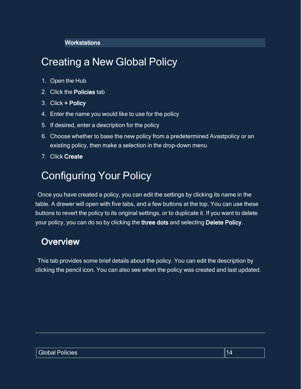#### **Workstations**

## <span id="page-13-0"></span>Creating a New Global Policy

- 1. Open the Hub
- 2. Click the Policies tab
- 3. Click + Policy
- 4. Enter the name you would like to use for the policy
- 5. If desired, enter a description for the policy
- 6. Choose whether to base the new policy from a predetermined Avastpolicy or an existing policy, then make a selection in the drop-down menu
- <span id="page-13-1"></span>7. Click Create

## Configuring Your Policy

Once you have created a policy, you can edit the settings by clicking its name in the table. A drawer will open with five tabs, and a few buttons at the top. You can use these buttons to revert the policy to its original settings, or to duplicate it. If you want to delete your policy, you can do so by clicking the three dots and selecting Delete Policy.

### <span id="page-13-2"></span>**Overview**

This tab provides some brief details about the policy. You can edit the description by clicking the pencil icon. You can also see when the policy was created and last updated.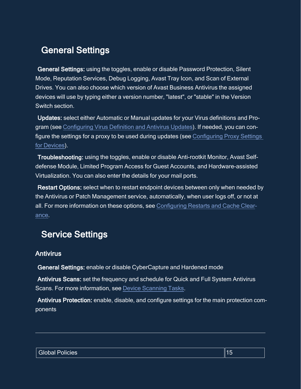### <span id="page-14-0"></span>General Settings

General Settings: using the toggles, enable or disable Password Protection, Silent Mode, Reputation Services, Debug Logging, Avast Tray Icon, and Scan of External Drives. You can also choose which version of Avast Business Antivirus the assigned devices will use by typing either a version number, "latest", or "stable" in the Version Switch section.

Updates: select either Automatic or Manual updates for your Virus definitions and Program (see [Configuring](https://businesshelp.avast.com/Content/Products/AfB_Management_Consoles/ConfiguringSettingsandPolicies/ConfiguringVirusDefinitionandAntivirusUpdates.htm) Virus Definition and Antivirus Updates). If needed, you can configure the settings for a proxy to be used during updates (see [Configuring](https://businesshelp.avast.com/Content/Products/AfB_Management_Consoles/ConfiguringSettingsandPolicies/ConfiguringProxySettingsforDevices.htm) Proxy Settings for [Devices](https://businesshelp.avast.com/Content/Products/AfB_Management_Consoles/ConfiguringSettingsandPolicies/ConfiguringProxySettingsforDevices.htm)).

Troubleshooting: using the toggles, enable or disable Anti-rootkit Monitor, Avast Selfdefense Module, Limited Program Access for Guest Accounts, and Hardware-assisted Virtualization. You can also enter the details for your mail ports.

Restart Options: select when to restart endpoint devices between only when needed by the Antivirus or Patch Management service, automatically, when user logs off, or not at all. For more information on these options, see [Configuring](https://businesshelp.avast.com/Content/Products/AfB_Management_Consoles/PatchManagement/ConfiguringRestartsandCacheClearance.htm) Restarts and Cache Clear[ance](https://businesshelp.avast.com/Content/Products/AfB_Management_Consoles/PatchManagement/ConfiguringRestartsandCacheClearance.htm).

### <span id="page-14-1"></span>Service Settings

#### <span id="page-14-2"></span>Antivirus

General Settings: enable or disable CyberCapture and Hardened mode

Antivirus Scans: set the frequency and schedule for Quick and Full System Antivirus Scans. For more information, see Device [Scanning](https://businesshelp.avast.com/Content/Products/AfB_Management_Consoles/DeviceManagement/DeviceScanningTasks.htm) Tasks.

Antivirus Protection: enable, disable, and configure settings for the main protection components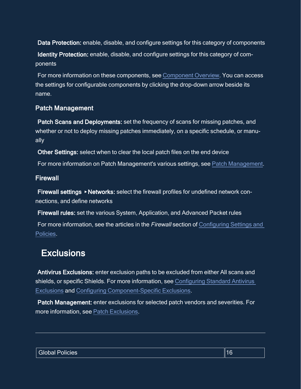Data Protection: enable, disable, and configure settings for this category of components Identity Protection: enable, disable, and configure settings for this category of components

For more information on these components, see [Component](https://businesshelp.avast.com/Content/Products/AfB_Management_Consoles/ConfiguringSettingsandPolicies/ComponentOverview.htm) Overview. You can access the settings for configurable components by clicking the drop-down arrow beside its name.

#### <span id="page-15-0"></span>Patch Management

Patch Scans and Deployments: set the frequency of scans for missing patches, and whether or not to deploy missing patches immediately, on a specific schedule, or manually

Other Settings: select when to clear the local patch files on the end device

<span id="page-15-1"></span>For more information on Patch Management's various settings, see Patch [Management.](https://businesshelp.avast.com/Content/ArticleLists/AfB_ManagementConsoles/PatchManagement.htm)

#### Firewall

Firewall settings ▸ Networks: select the firewall profiles for undefined network connections, and define networks

Firewall rules: set the various System, Application, and Advanced Packet rules

<span id="page-15-2"></span>For more information, see the articles in the *Firewall* section of [Configuring](https://businesshelp.avast.com/Content/ArticleLists/AfB_ManagementConsoles/ConfiguringSettingsandPolicies.htm) Settings and [Policies.](https://businesshelp.avast.com/Content/ArticleLists/AfB_ManagementConsoles/ConfiguringSettingsandPolicies.htm)

### **Exclusions**

Antivirus Exclusions: enter exclusion paths to be excluded from either All scans and shields, or specific Shields. For more information, see [Configuring](https://businesshelp.avast.com/Content/Products/AfB_Management_Consoles/ConfiguringSettingsandPolicies/ConfiguringStandardAntivirusExclusions.htm) Standard Antivirus [Exclusions](https://businesshelp.avast.com/Content/Products/AfB_Management_Consoles/ConfiguringSettingsandPolicies/ConfiguringStandardAntivirusExclusions.htm) and Configuring [Component-Specific](https://businesshelp.avast.com/Content/Products/AfB_Management_Consoles/ConfiguringSettingsandPolicies/ConfiguringComponent-SpecificExclusions.htm) Exclusions.

Patch Management: enter exclusions for selected patch vendors and severities. For more information, see Patch [Exclusions.](https://businesshelp.avast.com/Content/Products/AfB_Management_Consoles/PatchManagement/DeployingMissingPatches.htm)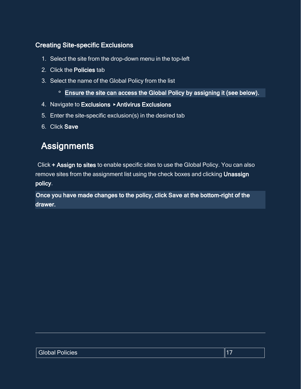#### <span id="page-16-0"></span>Creating Site-specific Exclusions

- 1. Select the site from the drop-down menu in the top-left
- 2. Click the Policies tab
- 3. Select the name of the Global Policy from the list
	- **<sup>o</sup>** Ensure the site can access the Global Policy by assigning it (see below).
- 4. Navigate to Exclusions ▸ Antivirus Exclusions
- 5. Enter the site-specific exclusion(s) in the desired tab
- <span id="page-16-1"></span>6. Click Save

## **Assignments**

Click + Assign to sites to enable specific sites to use the Global Policy. You can also remove sites from the assignment list using the check boxes and clicking Unassign policy.

Once you have made changes to the policy, click Save at the bottom-right of the drawer.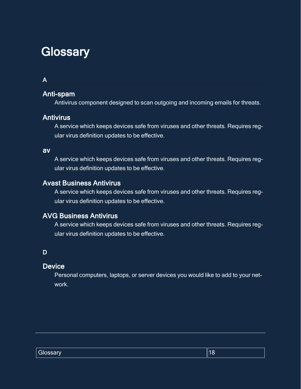## <span id="page-17-0"></span>**Glossary**

#### A

#### Anti-spam

Antivirus component designed to scan outgoing and incoming emails for threats.

#### **Antivirus**

A service which keeps devices safe from viruses and other threats. Requires regular virus definition updates to be effective.

#### av

A service which keeps devices safe from viruses and other threats. Requires regular virus definition updates to be effective.

#### Avast Business Antivirus

A service which keeps devices safe from viruses and other threats. Requires regular virus definition updates to be effective.

#### AVG Business Antivirus

A service which keeps devices safe from viruses and other threats. Requires regular virus definition updates to be effective.

#### D

#### **Device**

Personal computers, laptops, or server devices you would like to add to your network.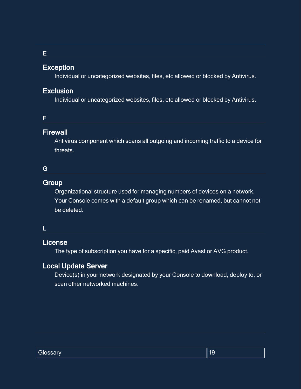E

#### Exception

Individual or uncategorized websites, files, etc allowed or blocked by Antivirus.

#### Exclusion

Individual or uncategorized websites, files, etc allowed or blocked by Antivirus.

#### F

#### **Firewall**

Antivirus component which scans all outgoing and incoming traffic to a device for threats.

#### G

#### **Group**

Organizational structure used for managing numbers of devices on a network. Your Console comes with a default group which can be renamed, but cannot not be deleted.

#### L

#### License

The type of subscription you have for a specific, paid Avast or AVG product.

#### Local Update Server

Device(s) in your network designated by your Console to download, deploy to, or scan other networked machines.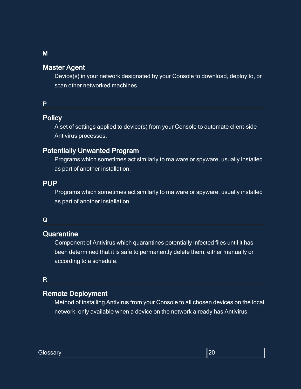#### Master Agent

Device(s) in your network designated by your Console to download, deploy to, or scan other networked machines.

#### P

#### **Policy**

A set of settings applied to device(s) from your Console to automate client-side Antivirus processes.

#### Potentially Unwanted Program

Programs which sometimes act similarly to malware or spyware, usually installed as part of another installation.

#### PUP

Programs which sometimes act similarly to malware or spyware, usually installed as part of another installation.

#### Q

#### **Quarantine**

Component of Antivirus which quarantines potentially infected files until it has been determined that it is safe to permanently delete them, either manually or according to a schedule.

#### R

#### Remote Deployment

Method of installing Antivirus from your Console to all chosen devices on the local network, only available when a device on the network already has Antivirus